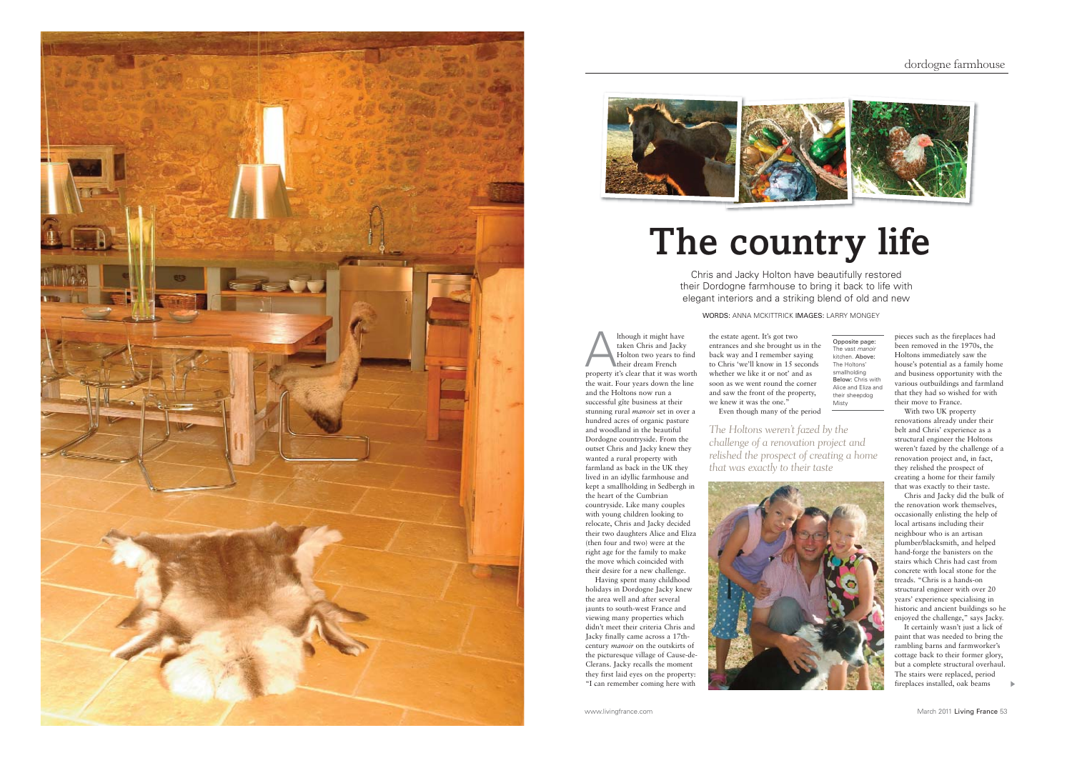



## **The country life**

Chris and Jacky Holton have beautifully restored their Dordogne farmhouse to bring it back to life with elegant interiors and a striking blend of old and new

WORDS: ANNA MCKITTRICK IMAGES: LARRY MONGEY

Although it might have taken Chris and Jacky Holton two years to find their dream French property it's clear that it was worth the wait. Four years down the line and the Holtons now run a successful gîte business at their stunning rural *manoir* set in over a hundred acres of organic pasture and woodland in the beautiful Dordogne countryside. From the outset Chris and Jacky knew they wanted a rural property with farmland as back in the UK they lived in an idyllic farmhouse and kept a smallholding in Sedbergh in the heart of the Cumbrian countryside. Like many couples with young children looking to relocate, Chris and Jacky decided their two daughters Alice and Eliza (then four and two) were at the right age for the family to make the move which coincided with their desire for a new challenge.

Having spent many childhood holidays in Dordogne Jacky knew the area well and after several jaunts to south-west France and viewing many properties which didn't meet their criteria Chris and Jacky finally came across a 17thcentury *manoir* on the outskirts of the picturesque village of Cause-de-Clerans. Jacky recalls the moment they first laid eyes on the property: "I can remember coming here with

the estate agent. It's got two entrances and she brought us in the back way and I remember saying to Chris 'we'll know in 15 seconds whether we like it or not' and as soon as we went round the corner and saw the front of the property, we knew it was the one." Even though many of the period Opposite page: The vast *manoir* kitchen. Above: The Holtons' smallholding Below: Chris with Alice and Eliza and their sheepdog Misty

*The Holtons weren't fazed by the challenge of a renovation project and relished the prospect of creating a home that was exactly to their taste*



<sup>p</sup>ieces such as the fireplaces had been removed in the 1970s, the Holtons immediately saw the house's potential as a family home and business opportunity with the various outbuildings and farmland that they had so wished for with their move to France. With two UK property

renovations already under their belt and Chris' experience as a structural engineer the Holtons weren't fazed by the challenge of a renovation project and, in fact, they relished the prospect of creating a home for their family that was exactly to their taste.

Chris and Jacky did the bulk of the renovation work themselves, occasionally enlisting the help of local artisans including their neighbour who is an artisan <sup>p</sup>lumber/blacksmith, and helped hand-forge the banisters on the stairs which Chris had cast from concrete with local stone for the treads. "Chris is a hands-on structural engineer with over 20 years' experience specialising in historic and ancient buildings so he enjoyed the challenge," says Jacky.

It certainly wasn't just a lick of paint that was needed to bring the rambling barns and farmworker's cottage back to their former glory, but a complete structural overhaul The stairs were replaced, period fireplaces installed, oak beams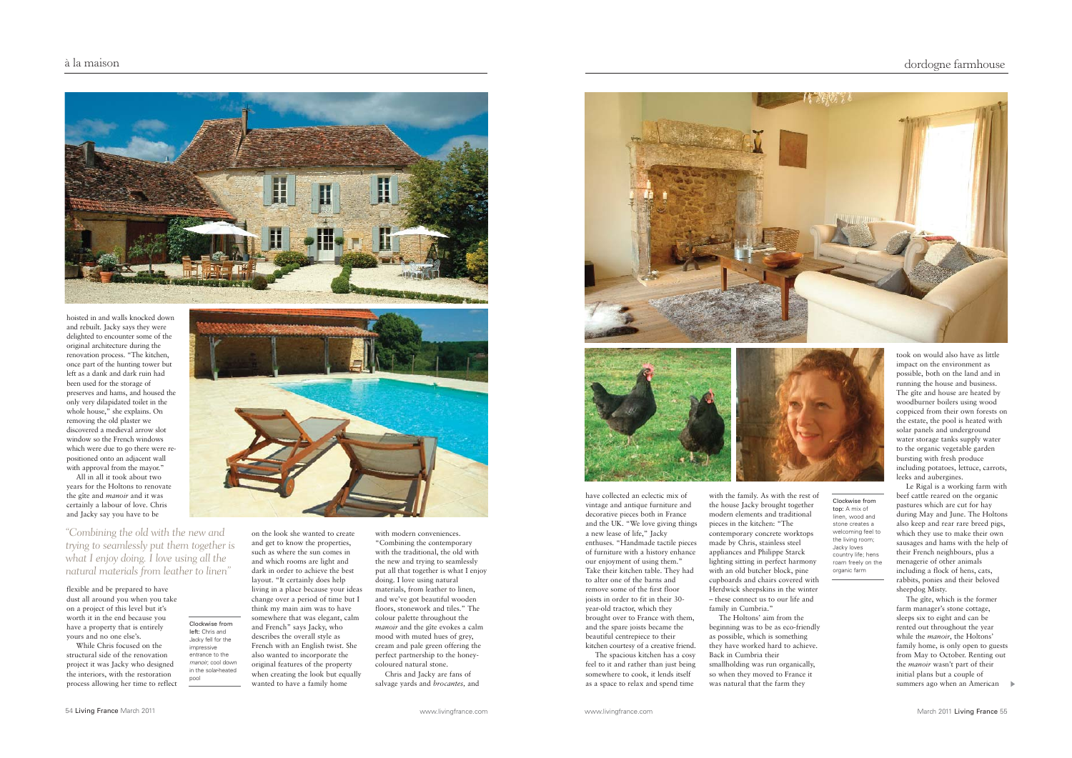

hoisted in and walls knocked down and rebuilt. Jacky says they were delighted to encounter some of the original architecture during the renovation process. "The kitchen, once part of the hunting tower but left as a dank and dark ruin had been used for the storage of preserves and hams, and housed the only very dilapidated toilet in the whole house," she explains. On removing the old plaster we discovered a medieval arrow slot window so the French windows which were due to go there were repositioned onto an adjacent wall with approval from the mayor."

All in all it took about two years for the Holtons to renovate the gîte and *manoir* and it was certainly a labour of love. Chris and Jacky say you have to be

*"Combining the old with the new and trying to seamlessly put them together is what I enjoy doing. I love using all the natural materials from leather to linen"*

> Clockwise from left: Chris and Jacky fell for the impressive entrance to the *manoir*; cool down in the solar-heated pool

flexible and be prepared to have dust all around you when you take on a project of this level but it's worth it in the end because you have a property that is entirely yours and no one else's.

While Chris focused on the structural side of the renovation project it was Jacky who designed the interiors, with the restoration process allowing her time to reflect



on the look she wanted to create and get to know the properties, such as where the sun comes in and which rooms are light and dark in order to achieve the best layout. "It certainly does help living in a place because your ideas change over a period of time but I think my main aim was to have somewhere that was elegant, calm and French" says Jacky, who describes the overall style as French with an English twist. She also wanted to incorporate the original features of the property when creating the look but equally wanted to have a family home

with modern conveniences. "Combining the contemporary with the traditional, the old with the new and trying to seamlessly put all that together is what I enjoy doing. I love using natural materials, from leather to linen. and we've got beautiful wooden floors, stonework and tiles." The colour palette throughout the *manoir* and the gîte evokes a calm mood with muted hues of grey. cream and pale green offering the perfect partnership to the honeycoloured natural stone. Chris and Jacky are fans of salvage yards and *brocantes,* and





have collected an eclectic mix of vintage and antique furniture and decorative pieces both in France and the UK. "We love giving things a new lease of life," Jacky enthuses. "Handmade tactile pieces of furniture with a history enhance our enjoyment of using them." Take their kitchen table. They had to alter one of the barns and remove some of the first floor joists in order to fit in their 30 year-old tractor, which they brought over to France with them, and the spare joists became the beautiful centrepiece to their kitchen courtesy of a creative friend. The spacious kitchen has a cosy

feel to it and rather than just being somewhere to cook, it lends itself as a space to relax and spend time

with the family. As with the rest of the house Jacky brought together modern elements and traditional <sup>p</sup>ieces in the kitchen: "The contemporary concrete worktops made by Chris, stainless steel appliances and Philippe Starck  $\prod_{r=1}^{n}$  lighting sitting in perfect harmony with an old butcher block, pine cupboards and chairs covered with Herdwick sheepskins in the winter – these connect us to our life and family in Cumbria." The Holtons' aim from the Clockwise from top: A mix of linen, wood and stone creates a welcoming feel to the living room; Jacky loves country life; hens roam freely on the organic farm

beginning was to be as eco-friendly as possible, which is something they have worked hard to achieve. Back in Cumbria their smallholding was run organically, so when they moved to France it was natural that the farm they

took on would also have as little impact on the environment as possible, both on the land and in running the house and business. The gîte and house are heated by woodburner boilers using wood coppiced from their own forests on the estate, the pool is heated with solar panels and underground water storage tanks supply water to the organic vegetable garden bursting with fresh produce including potatoes, lettuce, carrots, leeks and aubergines.

Le Rigal is a working farm with beef cattle reared on the organic pastures which are cut for hay during May and June. The Holtons also keep and rear rare breed pigs, which they use to make their own sausages and hams with the help of their French neighbours, plus a menagerie of other animals including a flock of hens, cats, rabbits, ponies and their beloved sheepdog Misty.

The gîte, which is the former farm manager's stone cottage, sleeps six to eight and can be rented out throughout the year while the *manoir*, the Holtons' family home, is only open to guests from May to October. Renting out the *manoir* wasn't part of their initial plans but a couple of summers ago when an American